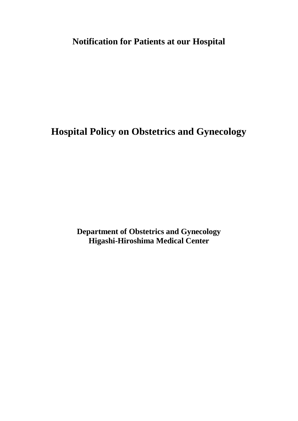**Notification for Patients at our Hospital**

**Hospital Policy on Obstetrics and Gynecology**

**Department of Obstetrics and Gynecology Higashi-Hiroshima Medical Center**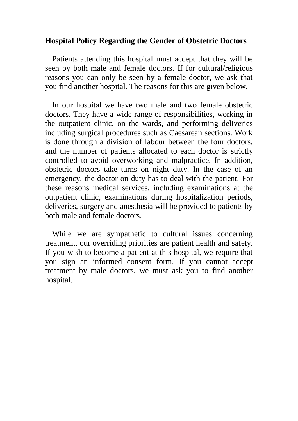## **Hospital Policy Regarding the Gender of Obstetric Doctors**

Patients attending this hospital must accept that they will be seen by both male and female doctors. If for cultural/religious reasons you can only be seen by a female doctor, we ask that you find another hospital. The reasons for this are given below.

In our hospital we have two male and two female obstetric doctors. They have a wide range of responsibilities, working in the outpatient clinic, on the wards, and performing deliveries including surgical procedures such as Caesarean sections. Work is done through a division of labour between the four doctors, and the number of patients allocated to each doctor is strictly controlled to avoid overworking and malpractice. In addition, obstetric doctors take turns on night duty. In the case of an emergency, the doctor on duty has to deal with the patient. For these reasons medical services, including examinations at the outpatient clinic, examinations during hospitalization periods, deliveries, surgery and anesthesia will be provided to patients by both male and female doctors.

While we are sympathetic to cultural issues concerning treatment, our overriding priorities are patient health and safety. If you wish to become a patient at this hospital, we require that you sign an informed consent form. If you cannot accept treatment by male doctors, we must ask you to find another hospital.